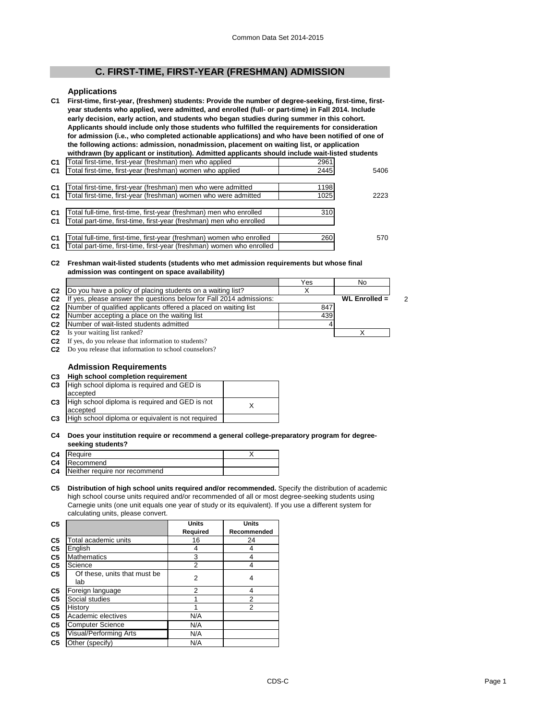# **C. FIRST-TIME, FIRST-YEAR (FRESHMAN) ADMISSION**

#### **Applications**

**C1 First-time, first-year, (freshmen) students: Provide the number of degree-seeking, first-time, firstyear students who applied, were admitted, and enrolled (full- or part-time) in Fall 2014. Include early decision, early action, and students who began studies during summer in this cohort. Applicants should include only those students who fulfilled the requirements for consideration for admission (i.e., who completed actionable applications) and who have been notified of one of the following actions: admission, nonadmission, placement on waiting list, or application withdrawn (by applicant or institution). Admitted applicants should include wait-listed students** 

| C1             | Total first-time, first-year (freshman) men who applied               | 2961 |      |
|----------------|-----------------------------------------------------------------------|------|------|
| C1             | Total first-time, first-year (freshman) women who applied             | 2445 | 5406 |
|                |                                                                       |      |      |
| C1             | Total first-time, first-year (freshman) men who were admitted         | 1198 |      |
| C <sub>1</sub> | Total first-time, first-year (freshman) women who were admitted       | 1025 | 2223 |
|                |                                                                       |      |      |
| C <sub>1</sub> | Total full-time, first-time, first-year (freshman) men who enrolled   | 310  |      |
| C <sub>1</sub> | Total part-time, first-time, first-year (freshman) men who enrolled   |      |      |
|                |                                                                       |      |      |
| C <sub>1</sub> | Total full-time, first-time, first-year (freshman) women who enrolled | 260  | 570  |
| C1             | Total part-time, first-time, first-year (freshman) women who enrolled |      |      |
|                |                                                                       |      |      |

#### **C2 Freshman wait-listed students (students who met admission requirements but whose final admission was contingent on space availability)**

|                |                                                                            | Yes | No              |   |
|----------------|----------------------------------------------------------------------------|-----|-----------------|---|
|                | C <sub>2</sub> Do you have a policy of placing students on a waiting list? |     |                 |   |
| C <sub>2</sub> | yes, please answer the questions below for Fall 2014 admissions:           |     | WL Enrolled $=$ | c |
| C2             | Number of qualified applicants offered a placed on waiting list            | 847 |                 |   |
| C <sub>2</sub> | Number accepting a place on the waiting list                               | 439 |                 |   |
| C2             | Number of wait-listed students admitted                                    |     |                 |   |
|                | <b>C2</b> Is your waiting list ranked?                                     |     |                 |   |

**C2** If yes, do you release that information to students?

**C2** Do you release that information to school counselors?

### **Admission Requirements**

### **C3 High school completion requirement**

| C <sub>3</sub> | High school diploma is required and GED is                 |  |
|----------------|------------------------------------------------------------|--|
|                | accepted                                                   |  |
| C <sub>3</sub> | High school diploma is required and GED is not<br>accepted |  |
| C <sub>3</sub> | High school diploma or equivalent is not required          |  |

#### **C4 Does your institution require or recommend a general college-preparatory program for degreeseeking students?**

| ___________________                     |  |
|-----------------------------------------|--|
| <b>C4</b> Require                       |  |
| <b>C4</b> Recommend                     |  |
| <b>C4</b> Neither require nor recommend |  |

#### **C5 Distribution of high school units required and/or recommended.** Specify the distribution of academic high school course units required and/or recommended of all or most degree-seeking students using Carnegie units (one unit equals one year of study or its equivalent). If you use a different system for calculating units, please convert.

| C <sub>5</sub> |                                     | <b>Units</b>   | <b>Units</b> |
|----------------|-------------------------------------|----------------|--------------|
|                |                                     | Required       | Recommended  |
| C <sub>5</sub> | Total academic units                | 16             | 24           |
| C <sub>5</sub> | English                             | 4              | 4            |
| C <sub>5</sub> | <b>Mathematics</b>                  | 3              | 4            |
| C <sub>5</sub> | Science                             | $\overline{2}$ | 4            |
| C5             | Of these, units that must be<br>lab | $\overline{2}$ | 4            |
| C <sub>5</sub> | Foreign language                    | 2              | 4            |
| C <sub>5</sub> | Social studies                      |                | 2            |
| C <sub>5</sub> | History                             |                | 2            |
| C <sub>5</sub> | Academic electives                  | N/A            |              |
| C <sub>5</sub> | <b>Computer Science</b>             | N/A            |              |
| C <sub>5</sub> | Visual/Performing Arts              | N/A            |              |
| C <sub>5</sub> | Other (specify)                     | N/A            |              |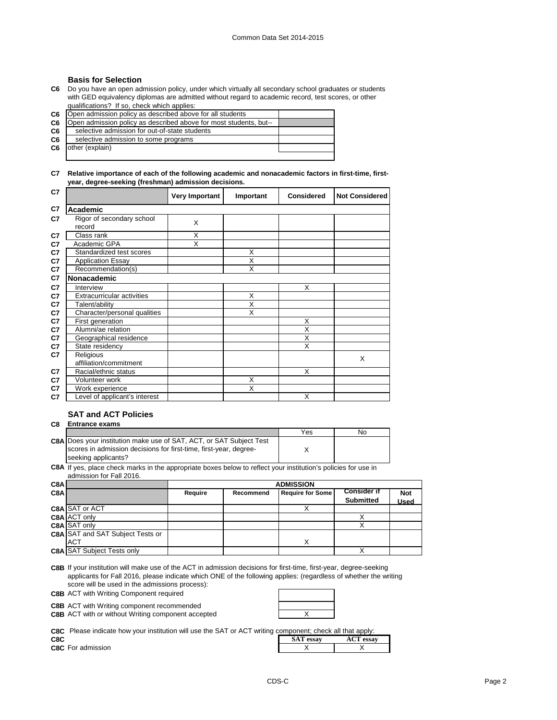## **Basis for Selection**

**C6** Do you have an open admission policy, under which virtually all secondary school graduates or students with GED equivalency diplomas are admitted without regard to academic record, test scores, or other qualifications? If so, check which applies:

**C6**

| C6.            | [Open admission policy as described above for all students]       |  |
|----------------|-------------------------------------------------------------------|--|
| C6             | Open admission policy as described above for most students, but-- |  |
| C6             | selective admission for out-of-state students                     |  |
| C <sub>6</sub> | selective admission to some programs                              |  |
| C <sub>6</sub> | other (explain)                                                   |  |
|                |                                                                   |  |

**C7 Relative importance of each of the following academic and nonacademic factors in first-time, firstyear, degree-seeking (freshman) admission decisions.**

| C7 |                                     | <b>Very Important</b> | Important | <b>Considered</b> | <b>Not Considered</b> |
|----|-------------------------------------|-----------------------|-----------|-------------------|-----------------------|
| C7 | Academic                            |                       |           |                   |                       |
| C7 | Rigor of secondary school<br>record | X                     |           |                   |                       |
| C7 | Class rank                          | X                     |           |                   |                       |
| C7 | Academic GPA                        | X                     |           |                   |                       |
| C7 | Standardized test scores            |                       | X         |                   |                       |
| C7 | <b>Application Essay</b>            |                       | X         |                   |                       |
| C7 | Recommendation(s)                   |                       | X         |                   |                       |
| C7 | <b>Nonacademic</b>                  |                       |           |                   |                       |
| C7 | Interview                           |                       |           | X                 |                       |
| C7 | Extracurricular activities          |                       | X         |                   |                       |
| C7 | Talent/ability                      |                       | X         |                   |                       |
| C7 | Character/personal qualities        |                       | X         |                   |                       |
| C7 | First generation                    |                       |           | X                 |                       |
| C7 | Alumni/ae relation                  |                       |           | X                 |                       |
| C7 | Geographical residence              |                       |           | X                 |                       |
| C7 | State residency                     |                       |           | X                 |                       |
| C7 | Religious                           |                       |           |                   | X                     |
|    | affiliation/commitment              |                       |           |                   |                       |
| C7 | Racial/ethnic status                |                       |           | X                 |                       |
| C7 | Volunteer work                      |                       | X         |                   |                       |
| C7 | Work experience                     |                       | X         |                   |                       |
| C7 | Level of applicant's interest       |                       |           | X                 |                       |

## **SAT and ACT Policies**

#### **C8 Entrance exams**

|                                                                            | Yes | No |
|----------------------------------------------------------------------------|-----|----|
| <b>C8A Does your institution make use of SAT, ACT, or SAT Subject Test</b> |     |    |
| Iscores in admission decisions for first-time, first-vear, degree-         |     |    |
| seeking applicants?                                                        |     |    |

**C8A** If yes, place check marks in the appropriate boxes below to reflect your institution's policies for use in admission for Fall 2016.

| C8AI |                                         |         | <b>ADMISSION</b> |                         |                    |             |  |
|------|-----------------------------------------|---------|------------------|-------------------------|--------------------|-------------|--|
| C8A  |                                         | Require | Recommend        | <b>Require for Some</b> | <b>Consider if</b> | <b>Not</b>  |  |
|      |                                         |         |                  |                         | <b>Submitted</b>   | <b>Used</b> |  |
|      | <b>C8A SAT or ACT</b>                   |         |                  |                         |                    |             |  |
|      | C8A ACT only                            |         |                  |                         |                    |             |  |
|      | <b>C8A SAT only</b>                     |         |                  |                         |                    |             |  |
|      | <b>C8A SAT and SAT Subject Tests or</b> |         |                  |                         |                    |             |  |
|      | <b>ACT</b>                              |         |                  | x                       |                    |             |  |
|      | <b>C8A SAT Subject Tests only</b>       |         |                  |                         |                    |             |  |

**C8B** If your institution will make use of the ACT in admission decisions for first-time, first-year, degree-seeking applicants for Fall 2016, please indicate which ONE of the following applies: (regardless of whether the writing score will be used in the admissions process):

**C8B** ACT with Writing Component required

**C8B** ACT with Writing component recommended

**C8B** ACT with or without Writing component accepted **ACT** Minimum Muslem CRS

**C8C** Please indicate how your institution will use the SAT or ACT writing component; check all that apply:

**C8C SAT essay ACT essay**

**C8C** For admission X X X X X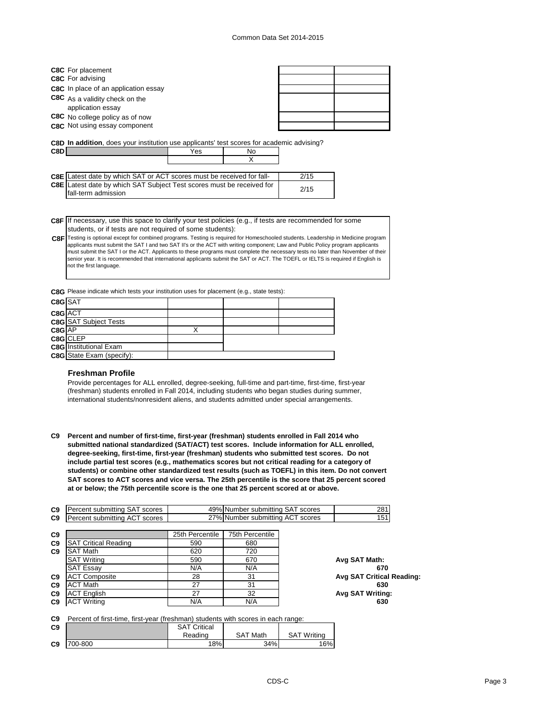| <b>C8C</b> For placement                                                                                                                                             |     |         |      |  |
|----------------------------------------------------------------------------------------------------------------------------------------------------------------------|-----|---------|------|--|
| <b>C8C</b> For advising                                                                                                                                              |     |         |      |  |
| C8C In place of an application essay                                                                                                                                 |     |         |      |  |
| <b>C8C</b> As a validity check on the<br>application essay                                                                                                           |     |         |      |  |
| <b>C8C</b> No college policy as of now                                                                                                                               |     |         |      |  |
| C8C Not using essay component                                                                                                                                        |     |         |      |  |
| <b>C8D In addition</b> , does your institution use applicants' test scores for academic advising?<br>C8D                                                             | Yes | No<br>X |      |  |
| <b>C8E</b> Latest date by which SAT or ACT scores must be received for fall-                                                                                         |     |         | 2/15 |  |
| <b>C8E</b> Latest date by which SAT Subject Test scores must be received for<br>fall-term admission                                                                  |     |         | 2/15 |  |
| C8F If necessary, use this space to clarify your test policies (e.g., if tests are recommended for some<br>students, or if tests are not required of some students): |     |         |      |  |

**C8F** Testing is optional except for combined programs. Testing is required for Homeschooled students. Leadership in Medicine program applicants must submit the SAT I and two SAT II's or the ACT with writing component; Law and Public Policy program applicants must submit the SAT I or the ACT. Applicants to these programs must complete the necessary tests no later than November of their senior year. It is recommended that international applicants submit the SAT or ACT. The TOEFL or IELTS is required if English is not the first language.

**C8G** Please indicate which tests your institution uses for placement (e.g., state tests):

| C8G SAT |                                  |  |  |
|---------|----------------------------------|--|--|
| C8G ACT |                                  |  |  |
|         | <b>C8G</b> SAT Subject Tests     |  |  |
| C8G AP  |                                  |  |  |
|         | C8G CLEP                         |  |  |
|         | <b>C8G</b> Institutional Exam    |  |  |
|         | <b>C8G</b> State Exam (specify): |  |  |

### **Freshman Profile**

Provide percentages for ALL enrolled, degree-seeking, full-time and part-time, first-time, first-year (freshman) students enrolled in Fall 2014, including students who began studies during summer, international students/nonresident aliens, and students admitted under special arrangements.

**C9 Percent and number of first-time, first-year (freshman) students enrolled in Fall 2014 who submitted national standardized (SAT/ACT) test scores. Include information for ALL enrolled, degree-seeking, first-time, first-year (freshman) students who submitted test scores. Do not include partial test scores (e.g., mathematics scores but not critical reading for a category of students) or combine other standardized test results (such as TOEFL) in this item. Do not convert SAT scores to ACT scores and vice versa. The 25th percentile is the score that 25 percent scored at or below; the 75th percentile score is the one that 25 percent scored at or above.**

| C9             | Percent submitting SAT scores                                                    |                     | 49% Number submitting SAT scores | 281                              |
|----------------|----------------------------------------------------------------------------------|---------------------|----------------------------------|----------------------------------|
| C9             | Percent submitting ACT scores                                                    |                     | 27% Number submitting ACT scores | 151                              |
|                |                                                                                  |                     |                                  |                                  |
| C9             |                                                                                  | 25th Percentile     | 75th Percentile                  |                                  |
| C <sub>9</sub> | <b>SAT Critical Reading</b>                                                      | 590                 | 680                              |                                  |
| C9             | <b>SAT Math</b>                                                                  | 620                 | 720                              |                                  |
|                | <b>SAT Writing</b>                                                               | 590                 | 670                              | Avg SAT Math:                    |
|                | <b>SAT Essay</b>                                                                 | N/A                 | N/A                              | 670                              |
| C9             | <b>ACT Composite</b>                                                             | 28                  | 31                               | <b>Avg SAT Critical Reading:</b> |
| C <sub>9</sub> | <b>ACT Math</b>                                                                  | 27                  | 31                               | 630                              |
| C <sub>9</sub> | <b>ACT English</b>                                                               | 27                  | 32                               | Avg SAT Writing:                 |
| C9             | <b>ACT Writing</b>                                                               | N/A                 | N/A                              | 630                              |
|                |                                                                                  |                     |                                  |                                  |
| C <sub>9</sub> | Percent of first-time, first-year (freshman) students with scores in each range: |                     |                                  |                                  |
| C9             |                                                                                  | <b>SAT Critical</b> |                                  |                                  |

| C9             |         | <b>SAT Critical</b> |             |                |
|----------------|---------|---------------------|-------------|----------------|
|                |         | Reading             | SA<br>⊺Math | Writina<br>SAT |
| C <sub>9</sub> | 700-800 | 18%                 | 34%         | $.6\%$         |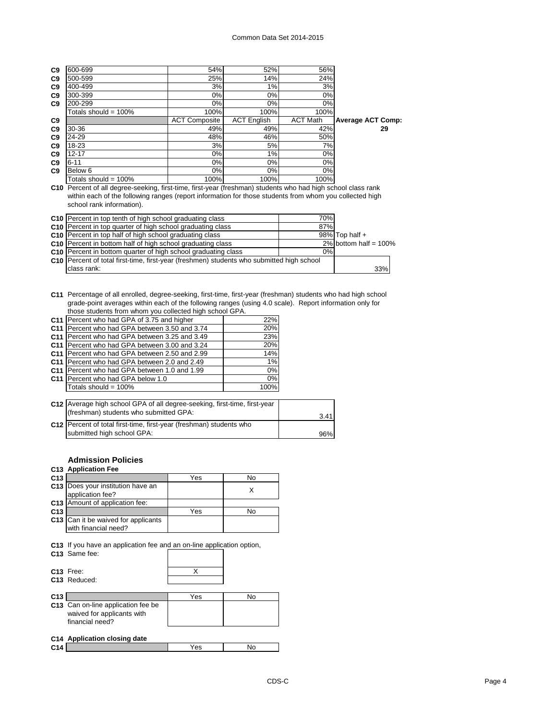| C <sub>9</sub> | 600-699                 | 54%                  | 52%                | 56%             |                          |
|----------------|-------------------------|----------------------|--------------------|-----------------|--------------------------|
| C <sub>9</sub> | 500-599                 | 25%                  | 14%                | 24%             |                          |
| C <sub>9</sub> | 400-499                 | 3%                   | $1\%$              | 3%              |                          |
| C <sub>9</sub> | 300-399                 | 0%                   | 0%                 | 0%              |                          |
| C <sub>9</sub> | 200-299                 | 0%                   | 0%                 | 0%              |                          |
|                | Totals should = $100\%$ | 100%                 | 100%               | 100%            |                          |
| C <sub>9</sub> |                         | <b>ACT Composite</b> | <b>ACT English</b> | <b>ACT Math</b> | <b>Average ACT Comp:</b> |
| C <sub>9</sub> | 30-36                   | 49%                  | 49%                | 42%             | 29                       |
| C <sub>9</sub> | 24-29                   | 48%                  | 46%                | 50%             |                          |
| C <sub>9</sub> | 18-23                   | 3%                   | 5%                 | 7%              |                          |
| C <sub>9</sub> | $12 - 17$               | 0%                   | 1%                 | 0%              |                          |
| C <sub>9</sub> | $6 - 11$                | 0%                   | 0%                 | 0%              |                          |
| C <sub>9</sub> | Below 6                 | 0%                   | 0%                 | 0%              |                          |
|                | Totals should = $100\%$ | 100%                 | 100%               | 100%            |                          |
|                |                         |                      |                    |                 |                          |

**C10** Percent of all degree-seeking, first-time, first-year (freshman) students who had high school class rank within each of the following ranges (report information for those students from whom you collected high within school rank information).

| <b>C10</b> Percent in top tenth of high school graduating class                           | 70% |                          |
|-------------------------------------------------------------------------------------------|-----|--------------------------|
| C <sub>10</sub> Percent in top quarter of high school graduating class                    | 87% |                          |
| C <sub>10</sub> Percent in top half of high school graduating class                       |     | 98% Top half $+$         |
| C10 Percent in bottom half of high school graduating class                                |     | $2\%$ bottom half = 100% |
| <b>C10</b> Percent in bottom quarter of high school graduating class                      | 0%  |                          |
| C10 Percent of total first-time, first-year (freshmen) students who submitted high school |     |                          |
| class rank:                                                                               |     | 33%                      |

**C11** Percentage of all enrolled, degree-seeking, first-time, first-year (freshman) students who had high school grade-point averages within each of the following ranges (using 4.0 scale). Report information only for those students from whom you collected high school GPA.

| C11 Percent who had GPA of 3.75 and higher                | 22%  |
|-----------------------------------------------------------|------|
| C11 Percent who had GPA between 3.50 and 3.74             | 20%  |
| C11 Percent who had GPA between 3.25 and 3.49             | 23%  |
| C11 Percent who had GPA between 3.00 and 3.24             | 20%  |
| C <sub>11</sub> Percent who had GPA between 2.50 and 2.99 | 14%  |
| C11 Percent who had GPA between 2.0 and 2.49              | 1%   |
| C <sub>11</sub> Percent who had GPA between 1.0 and 1.99  | 0%   |
| C11 Percent who had GPA below 1.0                         | 0%   |
| Totals should = $100\%$                                   | 100% |
|                                                           |      |

| C12 Average high school GPA of all degree-seeking, first-time, first-year<br>(freshman) students who submitted GPA: | 3.41 |
|---------------------------------------------------------------------------------------------------------------------|------|
| C12 Percent of total first-time, first-year (freshman) students who<br>submitted high school GPA:                   | 96%  |

# **Admission Policies**

### **C13 Application Fee**

| C <sub>13</sub> |                                                       | Yes | No |
|-----------------|-------------------------------------------------------|-----|----|
|                 | C13 Does your institution have an<br>application fee? |     |    |
|                 | C13 Amount of application fee:                        |     |    |
| C <sub>13</sub> |                                                       | Yes | N٥ |
|                 | <b>C13</b> Can it be waived for applicants            |     |    |
|                 | with financial need?                                  |     |    |

**C13** If you have an application fee and an on-line application option,

|                 | C <sub>13</sub> Same fee:                                                           |     |    |
|-----------------|-------------------------------------------------------------------------------------|-----|----|
|                 | C <sub>13</sub> Free:<br>C <sub>13</sub> Reduced:                                   | X   |    |
| C <sub>13</sub> |                                                                                     | Yes | No |
|                 | C13 Can on-line application fee be<br>waived for applicants with<br>financial need? |     |    |
|                 | C14 Application closing date                                                        |     |    |
| C14             |                                                                                     | Yes | No |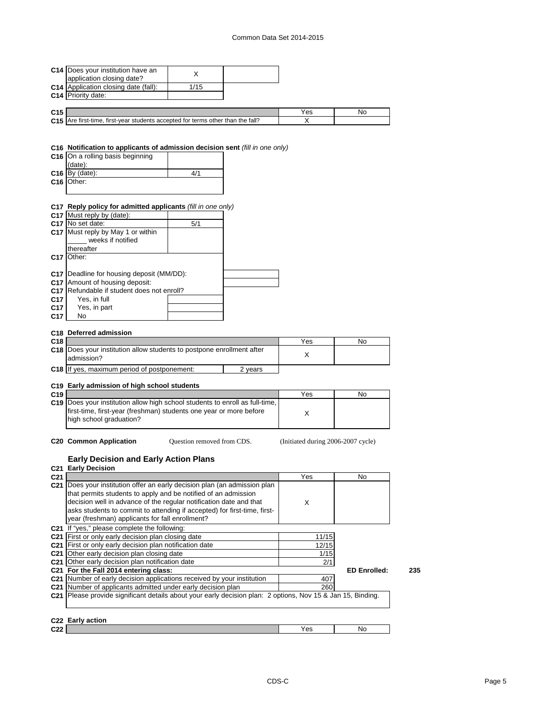| C <sub>21</sub> | <b>Early Decision and Early Action Plans</b><br>C21 Early Decision<br>C21 Does your institution offer an early decision plan (an admission plan<br>that permits students to apply and be notified of an admission<br>decision well in advance of the regular notification date and that<br>asks students to commit to attending if accepted) for first-time, first-<br>year (freshman) applicants for fall enrollment?<br>C21 If "yes," please complete the following:<br>C <sub>21</sub> First or only early decision plan closing date<br>C21 First or only early decision plan notification date<br>C21 Other early decision plan closing date<br>C21 Other early decision plan notification date<br>C21 For the Fall 2014 entering class:<br>C21 Number of early decision applications received by your institution<br>C21 Number of applicants admitted under early decision plan<br>C21 Please provide significant details about your early decision plan: 2 options, Nov 15 & Jan 15, Binding.<br>C22 Early action |                            |         | Yes<br>X<br>11/15<br>12/15<br>1/15<br>2/1<br>407<br>260 | No<br><b>ED Enrolled:</b> |
|-----------------|---------------------------------------------------------------------------------------------------------------------------------------------------------------------------------------------------------------------------------------------------------------------------------------------------------------------------------------------------------------------------------------------------------------------------------------------------------------------------------------------------------------------------------------------------------------------------------------------------------------------------------------------------------------------------------------------------------------------------------------------------------------------------------------------------------------------------------------------------------------------------------------------------------------------------------------------------------------------------------------------------------------------------|----------------------------|---------|---------------------------------------------------------|---------------------------|
|                 |                                                                                                                                                                                                                                                                                                                                                                                                                                                                                                                                                                                                                                                                                                                                                                                                                                                                                                                                                                                                                           |                            |         |                                                         |                           |
|                 |                                                                                                                                                                                                                                                                                                                                                                                                                                                                                                                                                                                                                                                                                                                                                                                                                                                                                                                                                                                                                           |                            |         |                                                         |                           |
|                 |                                                                                                                                                                                                                                                                                                                                                                                                                                                                                                                                                                                                                                                                                                                                                                                                                                                                                                                                                                                                                           |                            |         |                                                         |                           |
|                 |                                                                                                                                                                                                                                                                                                                                                                                                                                                                                                                                                                                                                                                                                                                                                                                                                                                                                                                                                                                                                           |                            |         |                                                         |                           |
|                 |                                                                                                                                                                                                                                                                                                                                                                                                                                                                                                                                                                                                                                                                                                                                                                                                                                                                                                                                                                                                                           |                            |         |                                                         |                           |
|                 |                                                                                                                                                                                                                                                                                                                                                                                                                                                                                                                                                                                                                                                                                                                                                                                                                                                                                                                                                                                                                           |                            |         |                                                         |                           |
|                 |                                                                                                                                                                                                                                                                                                                                                                                                                                                                                                                                                                                                                                                                                                                                                                                                                                                                                                                                                                                                                           |                            |         |                                                         |                           |
|                 |                                                                                                                                                                                                                                                                                                                                                                                                                                                                                                                                                                                                                                                                                                                                                                                                                                                                                                                                                                                                                           |                            |         |                                                         |                           |
|                 |                                                                                                                                                                                                                                                                                                                                                                                                                                                                                                                                                                                                                                                                                                                                                                                                                                                                                                                                                                                                                           |                            |         |                                                         |                           |
|                 |                                                                                                                                                                                                                                                                                                                                                                                                                                                                                                                                                                                                                                                                                                                                                                                                                                                                                                                                                                                                                           |                            |         |                                                         |                           |
|                 |                                                                                                                                                                                                                                                                                                                                                                                                                                                                                                                                                                                                                                                                                                                                                                                                                                                                                                                                                                                                                           |                            |         |                                                         |                           |
|                 |                                                                                                                                                                                                                                                                                                                                                                                                                                                                                                                                                                                                                                                                                                                                                                                                                                                                                                                                                                                                                           |                            |         |                                                         |                           |
|                 |                                                                                                                                                                                                                                                                                                                                                                                                                                                                                                                                                                                                                                                                                                                                                                                                                                                                                                                                                                                                                           |                            |         |                                                         |                           |
|                 |                                                                                                                                                                                                                                                                                                                                                                                                                                                                                                                                                                                                                                                                                                                                                                                                                                                                                                                                                                                                                           |                            |         |                                                         |                           |
|                 |                                                                                                                                                                                                                                                                                                                                                                                                                                                                                                                                                                                                                                                                                                                                                                                                                                                                                                                                                                                                                           |                            |         |                                                         |                           |
|                 |                                                                                                                                                                                                                                                                                                                                                                                                                                                                                                                                                                                                                                                                                                                                                                                                                                                                                                                                                                                                                           |                            |         |                                                         |                           |
|                 |                                                                                                                                                                                                                                                                                                                                                                                                                                                                                                                                                                                                                                                                                                                                                                                                                                                                                                                                                                                                                           |                            |         |                                                         |                           |
|                 | <b>C20 Common Application</b>                                                                                                                                                                                                                                                                                                                                                                                                                                                                                                                                                                                                                                                                                                                                                                                                                                                                                                                                                                                             | Question removed from CDS. |         | (Initiated during 2006-2007 cycle)                      |                           |
|                 | high school graduation?                                                                                                                                                                                                                                                                                                                                                                                                                                                                                                                                                                                                                                                                                                                                                                                                                                                                                                                                                                                                   |                            |         |                                                         |                           |
|                 | first-time, first-year (freshman) students one year or more before                                                                                                                                                                                                                                                                                                                                                                                                                                                                                                                                                                                                                                                                                                                                                                                                                                                                                                                                                        |                            |         | Х                                                       |                           |
|                 | C19 Does your institution allow high school students to enroll as full-time,                                                                                                                                                                                                                                                                                                                                                                                                                                                                                                                                                                                                                                                                                                                                                                                                                                                                                                                                              |                            |         |                                                         |                           |
| C19             |                                                                                                                                                                                                                                                                                                                                                                                                                                                                                                                                                                                                                                                                                                                                                                                                                                                                                                                                                                                                                           |                            |         | Yes                                                     | No                        |
|                 | C19 Early admission of high school students                                                                                                                                                                                                                                                                                                                                                                                                                                                                                                                                                                                                                                                                                                                                                                                                                                                                                                                                                                               |                            |         |                                                         |                           |
|                 | C18 If yes, maximum period of postponement:                                                                                                                                                                                                                                                                                                                                                                                                                                                                                                                                                                                                                                                                                                                                                                                                                                                                                                                                                                               |                            | 2 years |                                                         |                           |
|                 | admission?                                                                                                                                                                                                                                                                                                                                                                                                                                                                                                                                                                                                                                                                                                                                                                                                                                                                                                                                                                                                                |                            |         |                                                         |                           |
|                 | C18 Does your institution allow students to postpone enrollment after                                                                                                                                                                                                                                                                                                                                                                                                                                                                                                                                                                                                                                                                                                                                                                                                                                                                                                                                                     |                            |         | Х                                                       |                           |
| C18             |                                                                                                                                                                                                                                                                                                                                                                                                                                                                                                                                                                                                                                                                                                                                                                                                                                                                                                                                                                                                                           |                            |         | Yes                                                     | No                        |
|                 | C18 Deferred admission                                                                                                                                                                                                                                                                                                                                                                                                                                                                                                                                                                                                                                                                                                                                                                                                                                                                                                                                                                                                    |                            |         |                                                         |                           |
| C17             | No                                                                                                                                                                                                                                                                                                                                                                                                                                                                                                                                                                                                                                                                                                                                                                                                                                                                                                                                                                                                                        |                            |         |                                                         |                           |
| C17             | Yes, in part                                                                                                                                                                                                                                                                                                                                                                                                                                                                                                                                                                                                                                                                                                                                                                                                                                                                                                                                                                                                              |                            |         |                                                         |                           |
| C <sub>17</sub> | Yes, in full                                                                                                                                                                                                                                                                                                                                                                                                                                                                                                                                                                                                                                                                                                                                                                                                                                                                                                                                                                                                              |                            |         |                                                         |                           |
|                 | C17 Refundable if student does not enroll?                                                                                                                                                                                                                                                                                                                                                                                                                                                                                                                                                                                                                                                                                                                                                                                                                                                                                                                                                                                |                            |         |                                                         |                           |
|                 | <b>C17</b> Deadline for housing deposit (MM/DD):<br>C17 Amount of housing deposit:                                                                                                                                                                                                                                                                                                                                                                                                                                                                                                                                                                                                                                                                                                                                                                                                                                                                                                                                        |                            |         |                                                         |                           |
|                 |                                                                                                                                                                                                                                                                                                                                                                                                                                                                                                                                                                                                                                                                                                                                                                                                                                                                                                                                                                                                                           |                            |         |                                                         |                           |
|                 | C17 Other:                                                                                                                                                                                                                                                                                                                                                                                                                                                                                                                                                                                                                                                                                                                                                                                                                                                                                                                                                                                                                |                            |         |                                                         |                           |
|                 | thereafter                                                                                                                                                                                                                                                                                                                                                                                                                                                                                                                                                                                                                                                                                                                                                                                                                                                                                                                                                                                                                |                            |         |                                                         |                           |
|                 | weeks if notified                                                                                                                                                                                                                                                                                                                                                                                                                                                                                                                                                                                                                                                                                                                                                                                                                                                                                                                                                                                                         |                            |         |                                                         |                           |
|                 | C17 Must reply by May 1 or within                                                                                                                                                                                                                                                                                                                                                                                                                                                                                                                                                                                                                                                                                                                                                                                                                                                                                                                                                                                         |                            |         |                                                         |                           |
|                 | C17 No set date:                                                                                                                                                                                                                                                                                                                                                                                                                                                                                                                                                                                                                                                                                                                                                                                                                                                                                                                                                                                                          | 5/1                        |         |                                                         |                           |
|                 | C17 Reply policy for admitted applicants (fill in one only)<br>C17 Must reply by (date):                                                                                                                                                                                                                                                                                                                                                                                                                                                                                                                                                                                                                                                                                                                                                                                                                                                                                                                                  |                            |         |                                                         |                           |
|                 |                                                                                                                                                                                                                                                                                                                                                                                                                                                                                                                                                                                                                                                                                                                                                                                                                                                                                                                                                                                                                           |                            |         |                                                         |                           |
|                 |                                                                                                                                                                                                                                                                                                                                                                                                                                                                                                                                                                                                                                                                                                                                                                                                                                                                                                                                                                                                                           |                            |         |                                                         |                           |
|                 | C <sub>16</sub> Other:                                                                                                                                                                                                                                                                                                                                                                                                                                                                                                                                                                                                                                                                                                                                                                                                                                                                                                                                                                                                    |                            |         |                                                         |                           |
|                 | $C16$ By (date):                                                                                                                                                                                                                                                                                                                                                                                                                                                                                                                                                                                                                                                                                                                                                                                                                                                                                                                                                                                                          | 4/1                        |         |                                                         |                           |
|                 | (data):                                                                                                                                                                                                                                                                                                                                                                                                                                                                                                                                                                                                                                                                                                                                                                                                                                                                                                                                                                                                                   |                            |         |                                                         |                           |
|                 | C16 Notification to applicants of admission decision sent (fill in one only)<br>C16 On a rolling basis beginning                                                                                                                                                                                                                                                                                                                                                                                                                                                                                                                                                                                                                                                                                                                                                                                                                                                                                                          |                            |         |                                                         |                           |
|                 |                                                                                                                                                                                                                                                                                                                                                                                                                                                                                                                                                                                                                                                                                                                                                                                                                                                                                                                                                                                                                           |                            |         |                                                         |                           |
|                 |                                                                                                                                                                                                                                                                                                                                                                                                                                                                                                                                                                                                                                                                                                                                                                                                                                                                                                                                                                                                                           |                            |         |                                                         |                           |
|                 | C15 Are first-time, first-year students accepted for terms other than the fall?                                                                                                                                                                                                                                                                                                                                                                                                                                                                                                                                                                                                                                                                                                                                                                                                                                                                                                                                           |                            |         | х                                                       |                           |
| C <sub>15</sub> |                                                                                                                                                                                                                                                                                                                                                                                                                                                                                                                                                                                                                                                                                                                                                                                                                                                                                                                                                                                                                           |                            |         | Yes                                                     | No                        |
|                 |                                                                                                                                                                                                                                                                                                                                                                                                                                                                                                                                                                                                                                                                                                                                                                                                                                                                                                                                                                                                                           |                            |         |                                                         |                           |
|                 | C14 Application closing date (fall):<br>C14 Priority date:                                                                                                                                                                                                                                                                                                                                                                                                                                                                                                                                                                                                                                                                                                                                                                                                                                                                                                                                                                | 1/15                       |         |                                                         |                           |
|                 | application closing date?                                                                                                                                                                                                                                                                                                                                                                                                                                                                                                                                                                                                                                                                                                                                                                                                                                                                                                                                                                                                 |                            |         |                                                         |                           |
|                 | C14 Does your institution have an                                                                                                                                                                                                                                                                                                                                                                                                                                                                                                                                                                                                                                                                                                                                                                                                                                                                                                                                                                                         | Х                          |         |                                                         |                           |